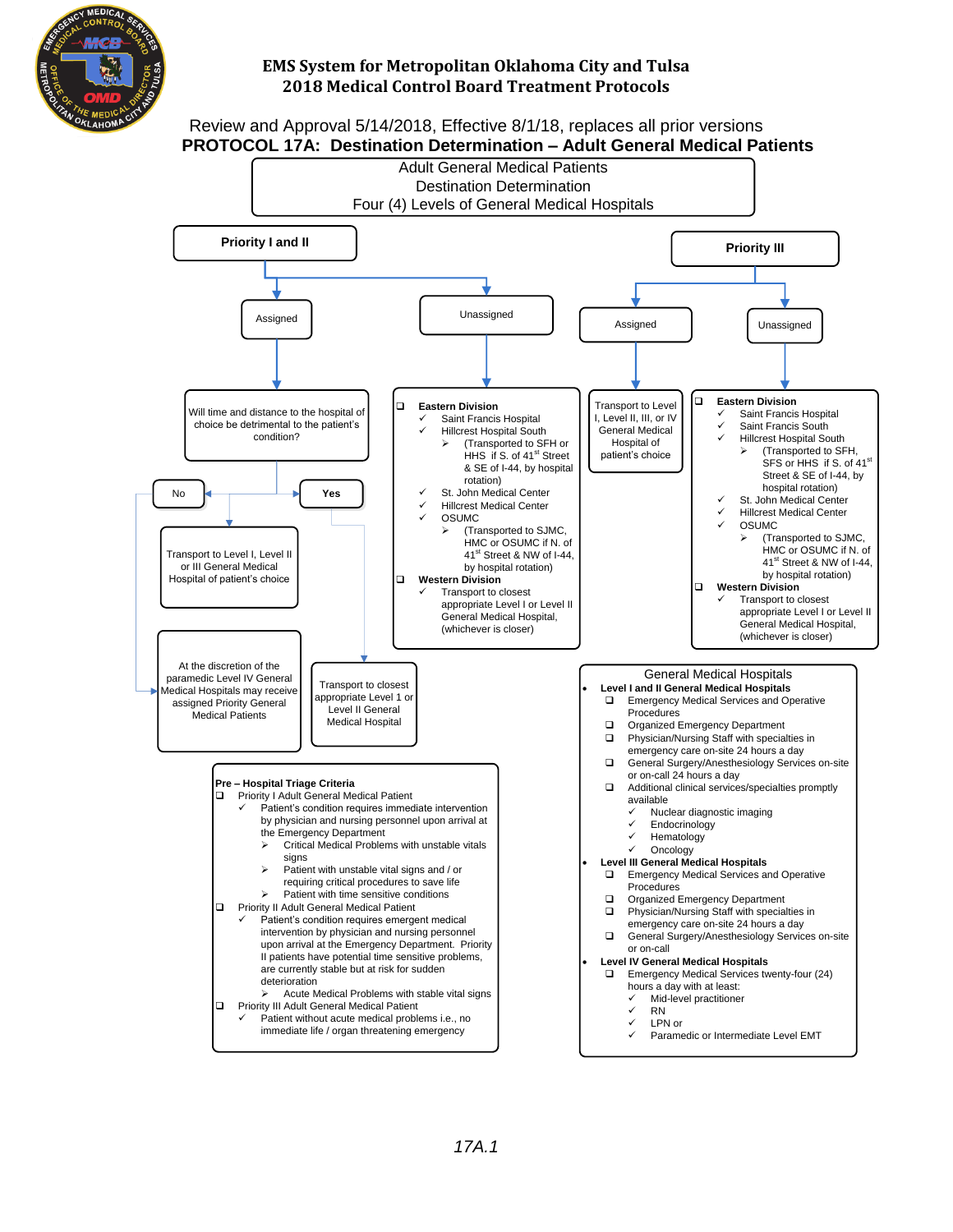

Review and Approval 5/14/2018, Effective 8/1/18, replaces all prior versions **PROTOCOL 17A: Destination Determination – Adult General Medical Patients**

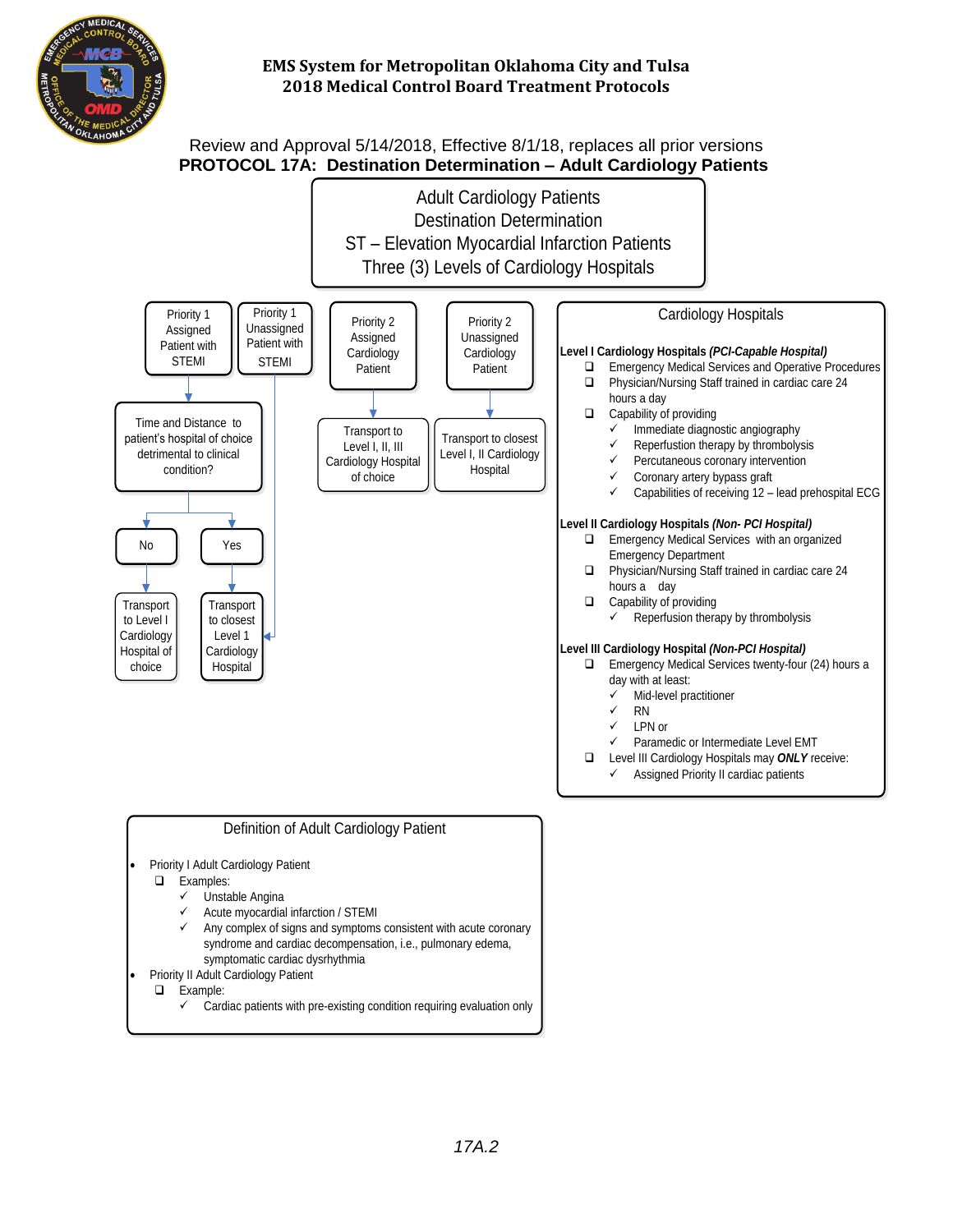

# Review and Approval 5/14/2018, Effective 8/1/18, replaces all prior versions  **PROTOCOL 17A:****Destination Determination – Adult Cardiology Patients**

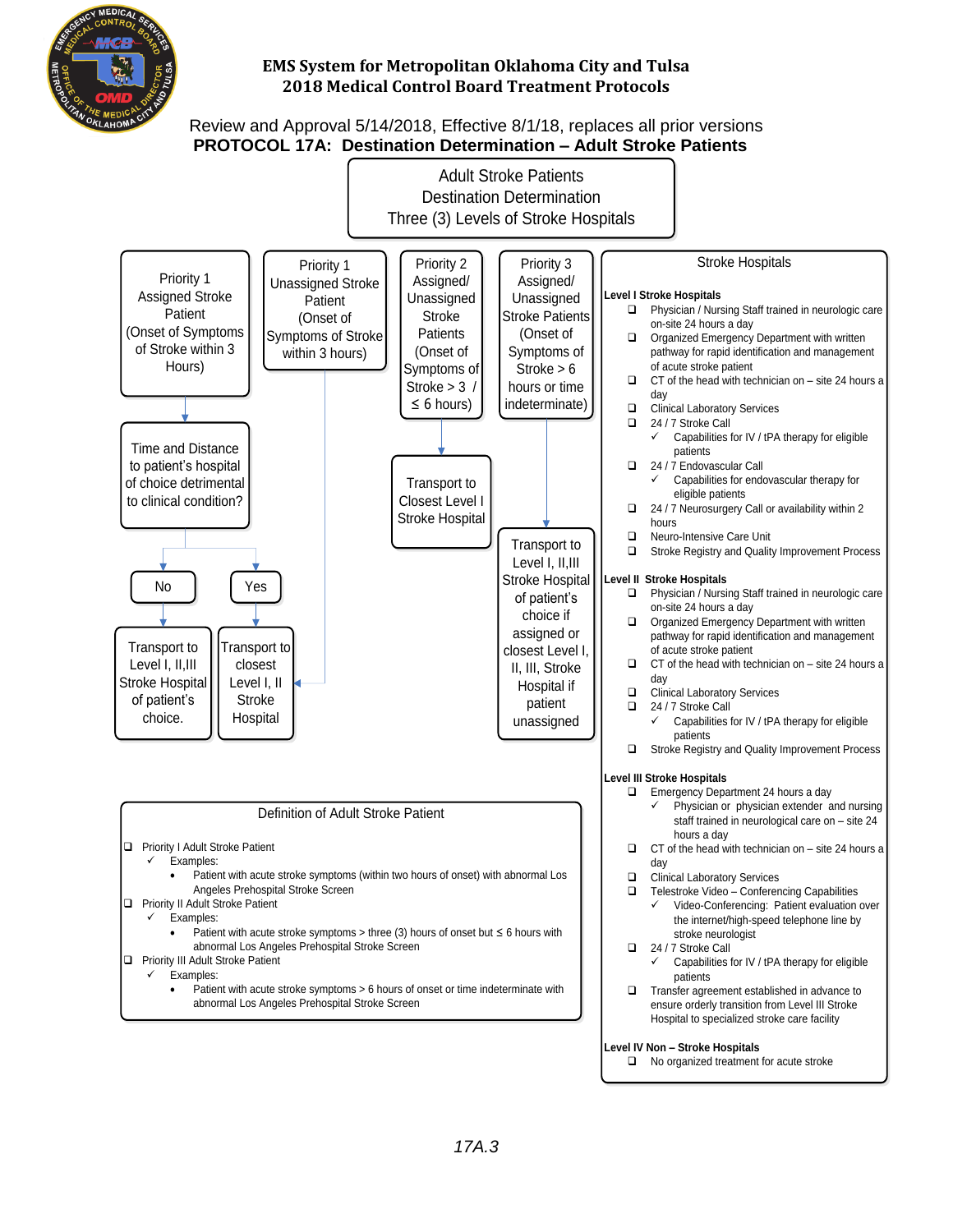

## Review and Approval 5/14/2018, Effective 8/1/18, replaces all prior versions **PROTOCOL 17A: Destination Determination – Adult Stroke Patients**

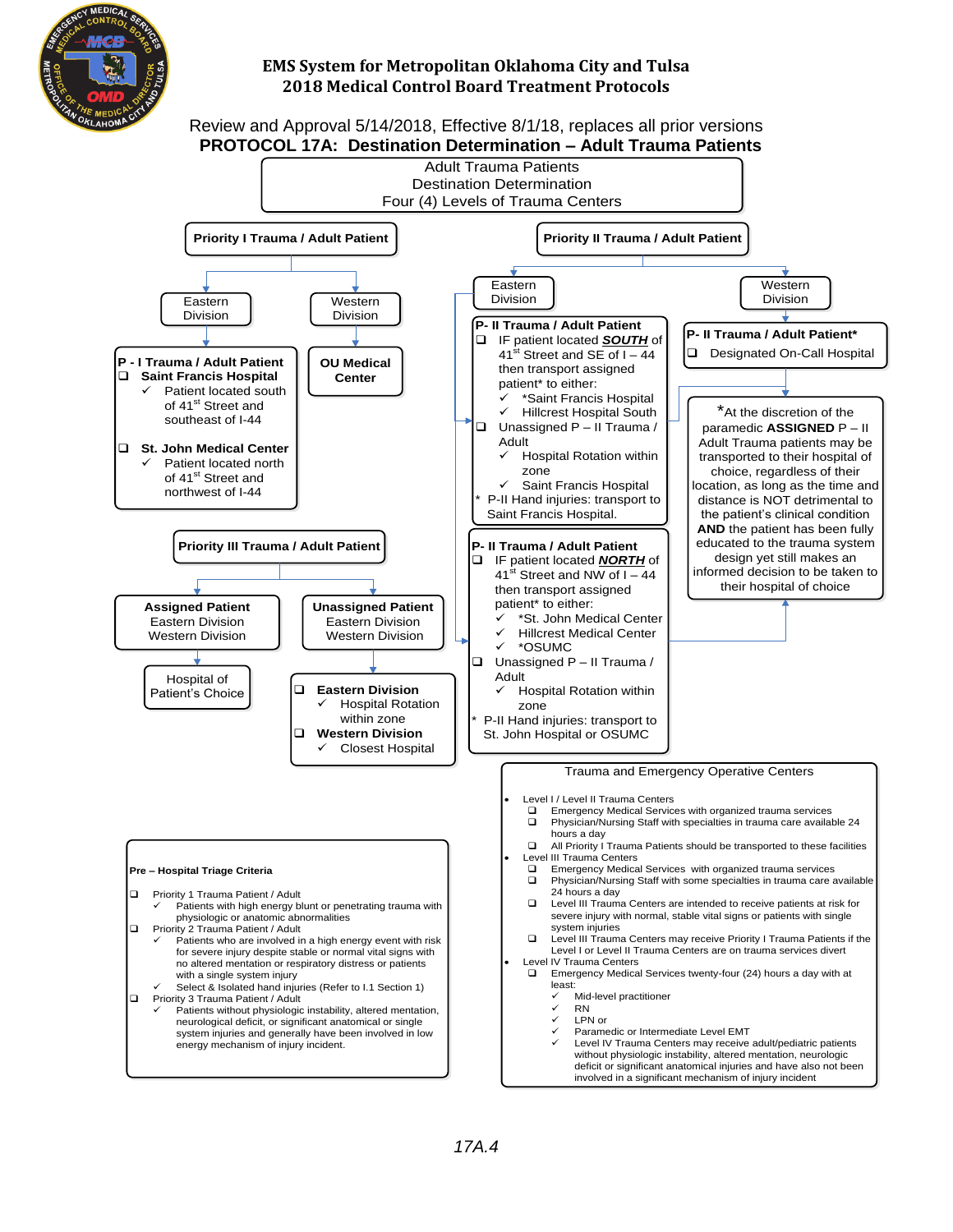

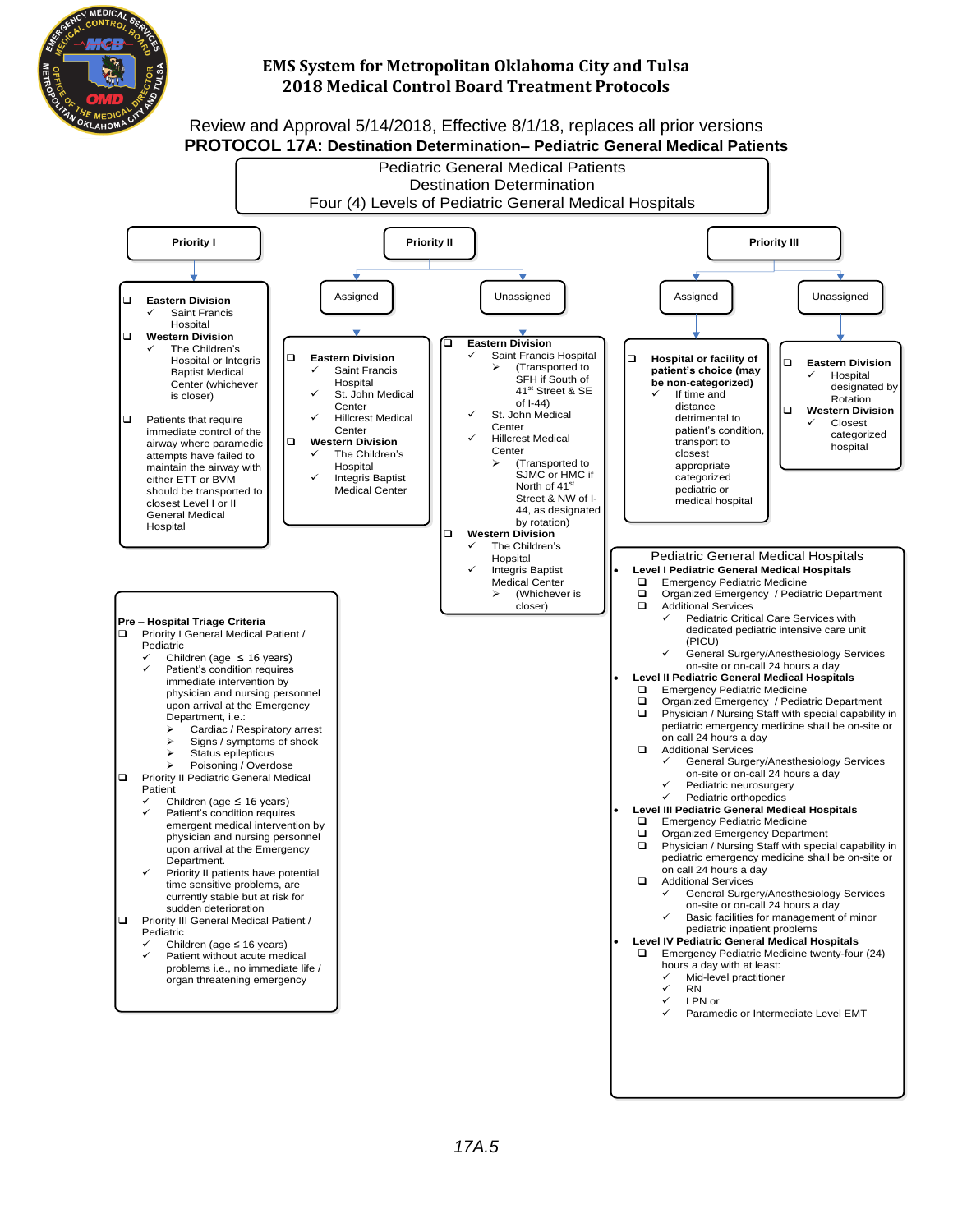

#### Review and Approval 5/14/2018, Effective 8/1/18, replaces all prior versions **PROTOCOL 17A: Destination Determination– Pediatric General Medical Patients**

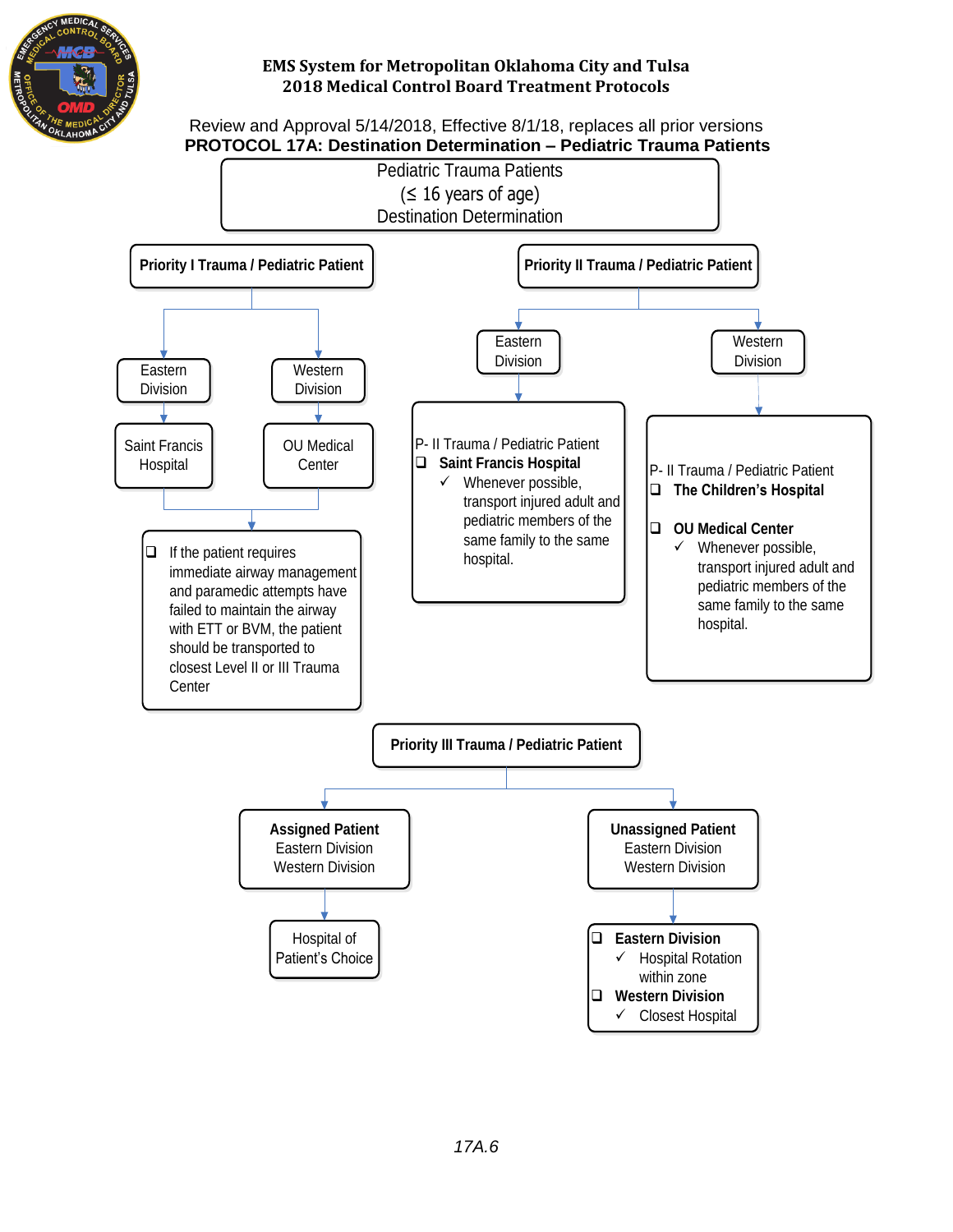

Review and Approval 5/14/2018, Effective 8/1/18, replaces all prior versions  **PROTOCOL 17A: Destination Determination – Pediatric Trauma Patients**